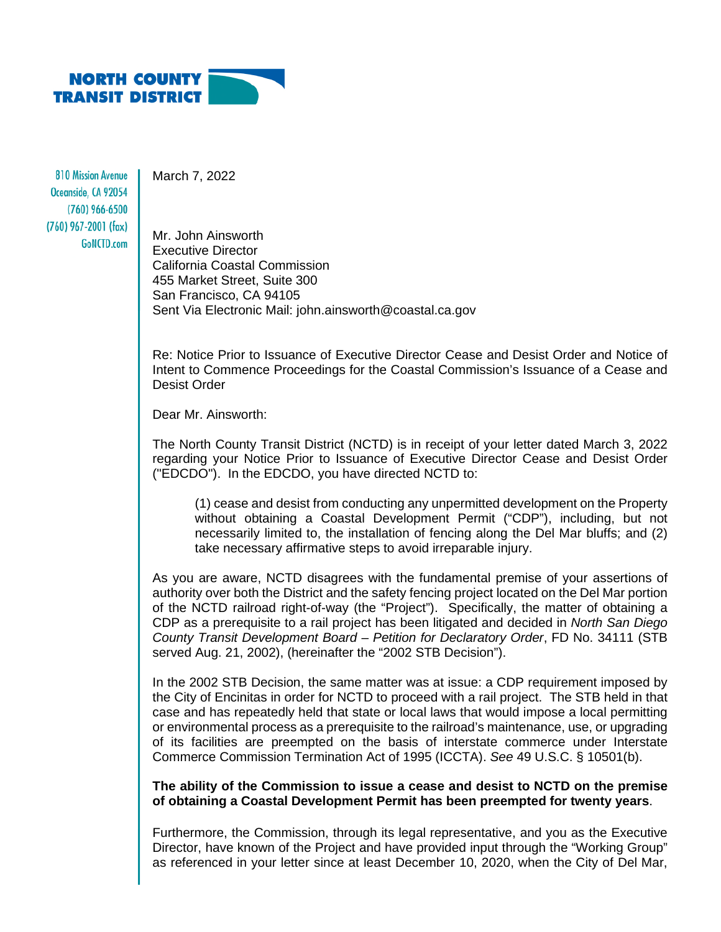

**810 Mission Avenue** Oceanside, CA 92054 (760) 966-6500  $(760)$  967-2001 (fax) GoNCTD.com

March 7, 2022

Mr. John Ainsworth Executive Director California Coastal Commission 455 Market Street, Suite 300 San Francisco, CA 94105 Sent Via Electronic Mail: john.ainsworth@coastal.ca.gov

Re: Notice Prior to Issuance of Executive Director Cease and Desist Order and Notice of Intent to Commence Proceedings for the Coastal Commission's Issuance of a Cease and Desist Order

Dear Mr. Ainsworth:

The North County Transit District (NCTD) is in receipt of your letter dated March 3, 2022 regarding your Notice Prior to Issuance of Executive Director Cease and Desist Order ("EDCDO"). In the EDCDO, you have directed NCTD to:

(1) cease and desist from conducting any unpermitted development on the Property without obtaining a Coastal Development Permit ("CDP"), including, but not necessarily limited to, the installation of fencing along the Del Mar bluffs; and (2) take necessary affirmative steps to avoid irreparable injury.

As you are aware, NCTD disagrees with the fundamental premise of your assertions of authority over both the District and the safety fencing project located on the Del Mar portion of the NCTD railroad right-of-way (the "Project"). Specifically, the matter of obtaining a CDP as a prerequisite to a rail project has been litigated and decided in *North San Diego County Transit Development Board – Petition for Declaratory Order*, FD No. 34111 (STB served Aug. 21, 2002), (hereinafter the "2002 STB Decision").

In the 2002 STB Decision, the same matter was at issue: a CDP requirement imposed by the City of Encinitas in order for NCTD to proceed with a rail project. The STB held in that case and has repeatedly held that state or local laws that would impose a local permitting or environmental process as a prerequisite to the railroad's maintenance, use, or upgrading of its facilities are preempted on the basis of interstate commerce under Interstate Commerce Commission Termination Act of 1995 (ICCTA). *See* 49 U.S.C. § 10501(b).

**The ability of the Commission to issue a cease and desist to NCTD on the premise of obtaining a Coastal Development Permit has been preempted for twenty years**.

Furthermore, the Commission, through its legal representative, and you as the Executive Director, have known of the Project and have provided input through the "Working Group" as referenced in your letter since at least December 10, 2020, when the City of Del Mar,